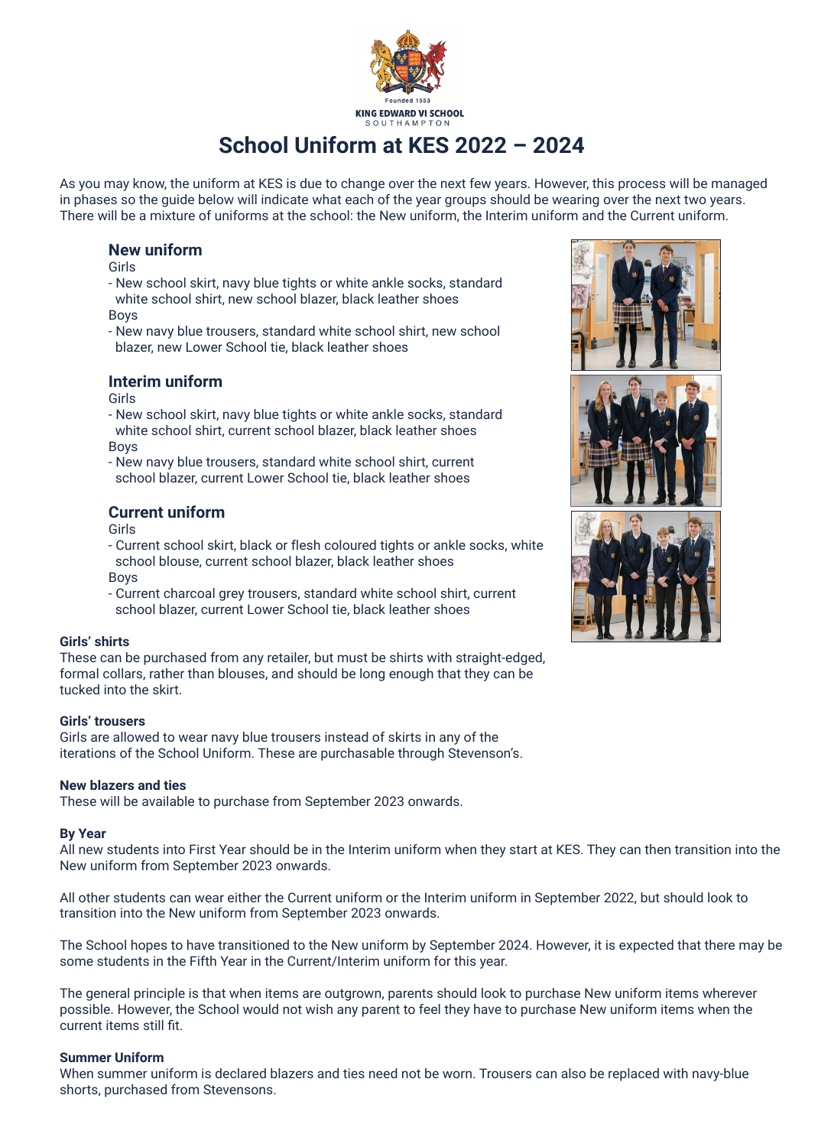

# **School Uniform at KES 2022 – 2024**

As you may know, the uniform at KES is due to change over the next few years. However, this process will be managed in phases so the guide below will indicate what each of the year groups should be wearing over the next two years. There will be a mixture of uniforms at the school: the New uniform, the Interim uniform and the Current uniform.

## **New uniform**

Girls

- New school skirt, navy blue tights or white ankle socks, standard white school shirt, new school blazer, black leather shoes Boys
- New navy blue trousers, standard white school shirt, new school blazer, new Lower School tie, black leather shoes

# **Interim uniform**

Girls

- New school skirt, navy blue tights or white ankle socks, standard white school shirt, current school blazer, black leather shoes Boys
- New navy blue trousers, standard white school shirt, current school blazer, current Lower School tie, black leather shoes

# **Current uniform**

Girls

- Current school skirt, black or flesh coloured tights or ankle socks, white school blouse, current school blazer, black leather shoes Boys
- Current charcoal grey trousers, standard white school shirt, current school blazer, current Lower School tie, black leather shoes

## **Girls' shirts**

These can be purchased from any retailer, but must be shirts with straight-edged, formal collars, rather than blouses, and should be long enough that they can be tucked into the skirt.

## **Girls' trousers**

Girls are allowed to wear navy blue trousers instead of skirts in any of the iterations of the School Uniform. These are purchasable through Stevenson's.

## **New blazers and ties**

These will be available to purchase from September 2023 onwards.

#### **By Year**

All new students into First Year should be in the Interim uniform when they start at KES. They can then transition into the New uniform from September 2023 onwards.

All other students can wear either the Current uniform or the Interim uniform in September 2022, but should look to transition into the New uniform from September 2023 onwards.

The School hopes to have transitioned to the New uniform by September 2024. However, it is expected that there may be some students in the Fifth Year in the Current/Interim uniform for this year.

The general principle is that when items are outgrown, parents should look to purchase New uniform items wherever possible. However, the School would not wish any parent to feel they have to purchase New uniform items when the current items still fit.

#### **Summer Uniform**

When summer uniform is declared blazers and ties need not be worn. Trousers can also be replaced with navy-blue shorts, purchased from Stevensons.